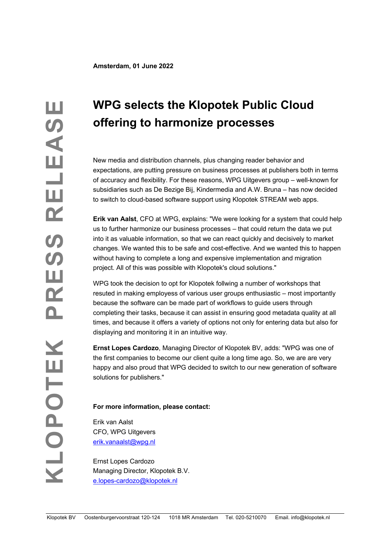# **WPG selects the Klopotek Public Cloud offering to harmonize processes**

New media and distribution channels, plus changing reader behavior and expectations, are putting pressure on business processes at publishers both in terms of accuracy and flexibility. For these reasons, WPG Uitgevers group – well-known for subsidiaries such as De Bezige Bij, Kindermedia and A.W. Bruna – has now decided to switch to cloud-based software support using Klopotek STREAM web apps.

**Erik van Aalst**, CFO at WPG, explains: "We were looking for a system that could help us to further harmonize our business processes – that could return the data we put into it as valuable information, so that we can react quickly and decisively to market changes. We wanted this to be safe and cost-effective. And we wanted this to happen without having to complete a long and expensive implementation and migration project. All of this was possible with Klopotek's cloud solutions."

WPG took the decision to opt for Klopotek follwing a number of workshops that resuted in making employess of various user groups enthusiastic – most importantly because the software can be made part of workflows to guide users through completing their tasks, because it can assist in ensuring good metadata quality at all times, and because it offers a variety of options not only for entering data but also for displaying and monitoring it in an intuitive way.

**Ernst Lopes Cardozo**, Managing Director of Klopotek BV, adds: "WPG was one of the first companies to become our client quite a long time ago. So, we are are very happy and also proud that WPG decided to switch to our new generation of software solutions for publishers."

## **For more information, please contact:**

Erik van Aalst CFO, WPG Uitgevers erik.vanaalst@wpg.nl

Ernst Lopes Cardozo Managing Director, Klopotek B.V. e.lopes-cardozo@klopotek.nl